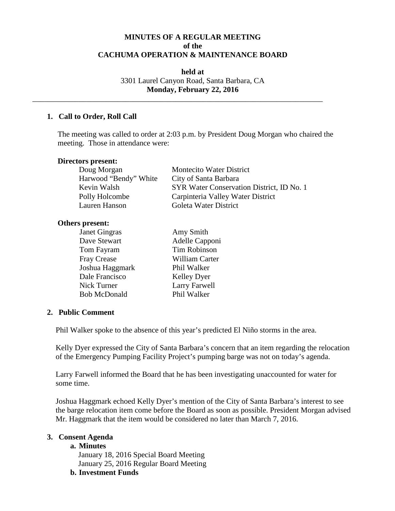# **MINUTES OF A REGULAR MEETING of the CACHUMA OPERATION & MAINTENANCE BOARD**

**held at** 3301 Laurel Canyon Road, Santa Barbara, CA **Monday, February 22, 2016**

\_\_\_\_\_\_\_\_\_\_\_\_\_\_\_\_\_\_\_\_\_\_\_\_\_\_\_\_\_\_\_\_\_\_\_\_\_\_\_\_\_\_\_\_\_\_\_\_\_\_\_\_\_\_\_\_\_\_\_\_\_\_\_\_\_\_\_\_\_\_\_\_\_\_\_

### **1. Call to Order, Roll Call**

The meeting was called to order at 2:03 p.m. by President Doug Morgan who chaired the meeting. Those in attendance were:

### **Directors present:**

| Doug Morgan           | <b>Montecito Water District</b>           |
|-----------------------|-------------------------------------------|
| Harwood "Bendy" White | City of Santa Barbara                     |
| Kevin Walsh           | SYR Water Conservation District, ID No. 1 |
| Polly Holcombe        | Carpinteria Valley Water District         |
| Lauren Hanson         | Goleta Water District                     |

#### **Others present:**

| Janet Gingras       | Amy Smith           |
|---------------------|---------------------|
| Dave Stewart        | Adelle Capponi      |
| Tom Fayram          | <b>Tim Robinson</b> |
| <b>Fray Crease</b>  | William Carter      |
| Joshua Haggmark     | Phil Walker         |
| Dale Francisco      | <b>Kelley Dyer</b>  |
| Nick Turner         | Larry Farwell       |
| <b>Bob McDonald</b> | Phil Walker         |
|                     |                     |

#### **2. Public Comment**

Phil Walker spoke to the absence of this year's predicted El Niño storms in the area.

Kelly Dyer expressed the City of Santa Barbara's concern that an item regarding the relocation of the Emergency Pumping Facility Project's pumping barge was not on today's agenda.

Larry Farwell informed the Board that he has been investigating unaccounted for water for some time.

Joshua Haggmark echoed Kelly Dyer's mention of the City of Santa Barbara's interest to see the barge relocation item come before the Board as soon as possible. President Morgan advised Mr. Haggmark that the item would be considered no later than March 7, 2016.

### **3. Consent Agenda**

#### **a. Minutes**

January 18, 2016 Special Board Meeting January 25, 2016 Regular Board Meeting

**b. Investment Funds**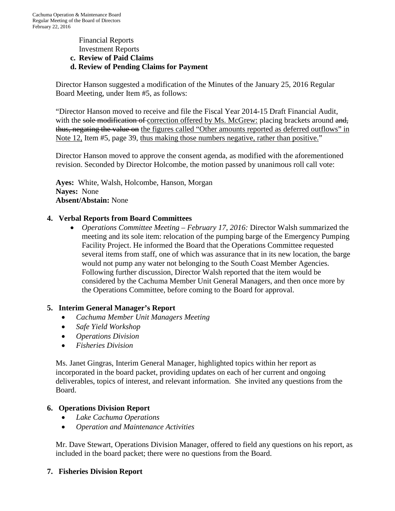### Financial Reports Investment Reports **c. Review of Paid Claims d. Review of Pending Claims for Payment**

Director Hanson suggested a modification of the Minutes of the January 25, 2016 Regular Board Meeting, under Item #5, as follows:

"Director Hanson moved to receive and file the Fiscal Year 2014-15 Draft Financial Audit, with the sole modification of correction offered by Ms. McGrew: placing brackets around and, thus, negating the value on the figures called "Other amounts reported as deferred outflows" in Note 12, Item #5, page 39, thus making those numbers negative, rather than positive."

Director Hanson moved to approve the consent agenda, as modified with the aforementioned revision. Seconded by Director Holcombe, the motion passed by unanimous roll call vote:

**Ayes:** White, Walsh, Holcombe, Hanson, Morgan **Nayes:** None **Absent/Abstain:** None

## **4. Verbal Reports from Board Committees**

• *Operations Committee Meeting – February 17, 2016:* Director Walsh summarized the meeting and its sole item: relocation of the pumping barge of the Emergency Pumping Facility Project. He informed the Board that the Operations Committee requested several items from staff, one of which was assurance that in its new location, the barge would not pump any water not belonging to the South Coast Member Agencies. Following further discussion, Director Walsh reported that the item would be considered by the Cachuma Member Unit General Managers, and then once more by the Operations Committee, before coming to the Board for approval.

## **5. Interim General Manager's Report**

- *Cachuma Member Unit Managers Meeting*
- *Safe Yield Workshop*
- *Operations Division*
- *Fisheries Division*

Ms. Janet Gingras, Interim General Manager, highlighted topics within her report as incorporated in the board packet, providing updates on each of her current and ongoing deliverables, topics of interest, and relevant information. She invited any questions from the Board.

## **6. Operations Division Report**

- *Lake Cachuma Operations*
- *Operation and Maintenance Activities*

Mr. Dave Stewart, Operations Division Manager, offered to field any questions on his report, as included in the board packet; there were no questions from the Board.

## **7. Fisheries Division Report**